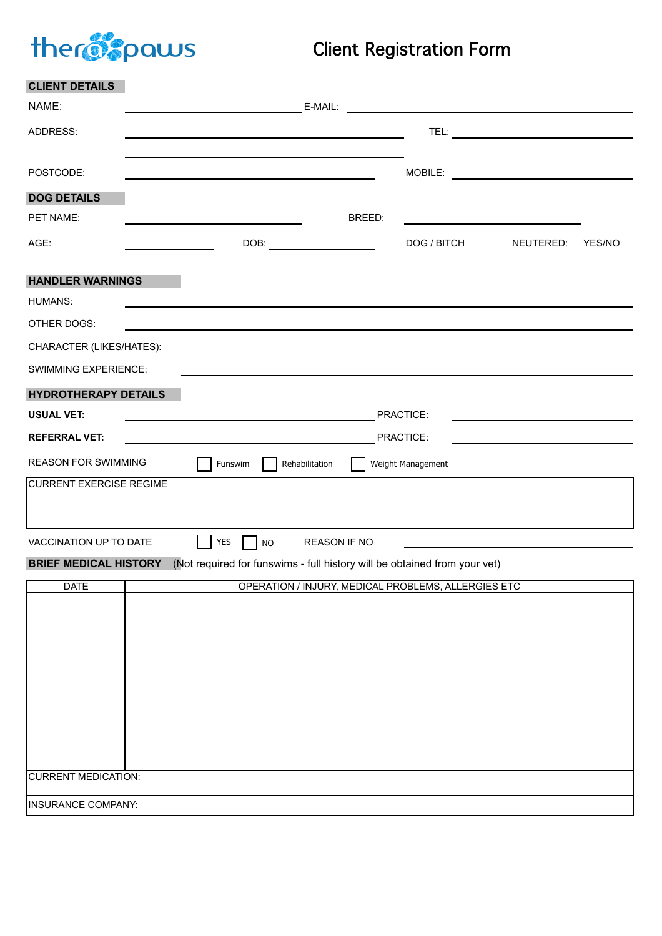# therogonous

# Client Registration Form

| <b>CLIENT DETAILS</b>                                                                                                                                  |  |                                                                                                                                                                                                                                  |  |        |                                                                                                                                                                                                                               |           |        |
|--------------------------------------------------------------------------------------------------------------------------------------------------------|--|----------------------------------------------------------------------------------------------------------------------------------------------------------------------------------------------------------------------------------|--|--------|-------------------------------------------------------------------------------------------------------------------------------------------------------------------------------------------------------------------------------|-----------|--------|
| NAME:                                                                                                                                                  |  |                                                                                                                                                                                                                                  |  |        |                                                                                                                                                                                                                               |           |        |
| ADDRESS:                                                                                                                                               |  |                                                                                                                                                                                                                                  |  |        |                                                                                                                                                                                                                               |           |        |
|                                                                                                                                                        |  |                                                                                                                                                                                                                                  |  |        |                                                                                                                                                                                                                               |           |        |
| POSTCODE:                                                                                                                                              |  |                                                                                                                                                                                                                                  |  |        |                                                                                                                                                                                                                               |           |        |
| <b>DOG DETAILS</b>                                                                                                                                     |  |                                                                                                                                                                                                                                  |  |        |                                                                                                                                                                                                                               |           |        |
| PET NAME:                                                                                                                                              |  | <u> 1989 - Johann Barbara, martxa alemaniar a</u>                                                                                                                                                                                |  | BREED: |                                                                                                                                                                                                                               |           |        |
| AGE:                                                                                                                                                   |  |                                                                                                                                                                                                                                  |  |        | DOG / BITCH                                                                                                                                                                                                                   | NEUTERED: | YES/NO |
| <b>HANDLER WARNINGS</b>                                                                                                                                |  |                                                                                                                                                                                                                                  |  |        |                                                                                                                                                                                                                               |           |        |
| <b>HUMANS:</b>                                                                                                                                         |  |                                                                                                                                                                                                                                  |  |        |                                                                                                                                                                                                                               |           |        |
| OTHER DOGS:                                                                                                                                            |  | and the control of the control of the control of the control of the control of the control of the control of the                                                                                                                 |  |        |                                                                                                                                                                                                                               |           |        |
| CHARACTER (LIKES/HATES):                                                                                                                               |  |                                                                                                                                                                                                                                  |  |        | the control of the control of the control of the control of the control of the control of the control of the control of the control of the control of the control of the control of the control of the control of the control |           |        |
| <b>SWIMMING EXPERIENCE:</b>                                                                                                                            |  |                                                                                                                                                                                                                                  |  |        |                                                                                                                                                                                                                               |           |        |
| <b>HYDROTHERAPY DETAILS</b>                                                                                                                            |  |                                                                                                                                                                                                                                  |  |        |                                                                                                                                                                                                                               |           |        |
| <b>USUAL VET:</b>                                                                                                                                      |  | PRACTICE:<br><u> 1989 - Johann Barn, mars ann an t-Amhain ann an t-Amhain an t-Amhain an t-Amhain an t-Amhain ann an t-Amhain </u>                                                                                               |  |        |                                                                                                                                                                                                                               |           |        |
| <b>REFERRAL VET:</b>                                                                                                                                   |  | PRACTICE:<br><u> 1989 - Johann Stoff, deutscher Stoffen und der Stoffen und der Stoffen und der Stoffen und der Stoffen und der</u><br>the control of the control of the control of the control of the control of the control of |  |        |                                                                                                                                                                                                                               |           |        |
| <b>REASON FOR SWIMMING</b><br>Funswim<br>Rehabilitation<br>Weight Management                                                                           |  |                                                                                                                                                                                                                                  |  |        |                                                                                                                                                                                                                               |           |        |
| <b>CURRENT EXERCISE REGIME</b>                                                                                                                         |  |                                                                                                                                                                                                                                  |  |        |                                                                                                                                                                                                                               |           |        |
|                                                                                                                                                        |  |                                                                                                                                                                                                                                  |  |        |                                                                                                                                                                                                                               |           |        |
| <b>YES</b><br><b>REASON IF NO</b><br>VACCINATION UP TO DATE<br><b>NO</b><br>the control of the control of the control of the control of the control of |  |                                                                                                                                                                                                                                  |  |        |                                                                                                                                                                                                                               |           |        |
| <b>BRIEF MEDICAL HISTORY</b><br>(Not required for funswims - full history will be obtained from your vet)                                              |  |                                                                                                                                                                                                                                  |  |        |                                                                                                                                                                                                                               |           |        |
| <b>DATE</b>                                                                                                                                            |  |                                                                                                                                                                                                                                  |  |        | OPERATION / INJURY, MEDICAL PROBLEMS, ALLERGIES ETC                                                                                                                                                                           |           |        |
|                                                                                                                                                        |  |                                                                                                                                                                                                                                  |  |        |                                                                                                                                                                                                                               |           |        |
|                                                                                                                                                        |  |                                                                                                                                                                                                                                  |  |        |                                                                                                                                                                                                                               |           |        |
|                                                                                                                                                        |  |                                                                                                                                                                                                                                  |  |        |                                                                                                                                                                                                                               |           |        |
|                                                                                                                                                        |  |                                                                                                                                                                                                                                  |  |        |                                                                                                                                                                                                                               |           |        |
|                                                                                                                                                        |  |                                                                                                                                                                                                                                  |  |        |                                                                                                                                                                                                                               |           |        |
|                                                                                                                                                        |  |                                                                                                                                                                                                                                  |  |        |                                                                                                                                                                                                                               |           |        |
|                                                                                                                                                        |  |                                                                                                                                                                                                                                  |  |        |                                                                                                                                                                                                                               |           |        |
| <b>CURRENT MEDICATION:</b>                                                                                                                             |  |                                                                                                                                                                                                                                  |  |        |                                                                                                                                                                                                                               |           |        |
|                                                                                                                                                        |  |                                                                                                                                                                                                                                  |  |        |                                                                                                                                                                                                                               |           |        |
| INSURANCE COMPANY:                                                                                                                                     |  |                                                                                                                                                                                                                                  |  |        |                                                                                                                                                                                                                               |           |        |